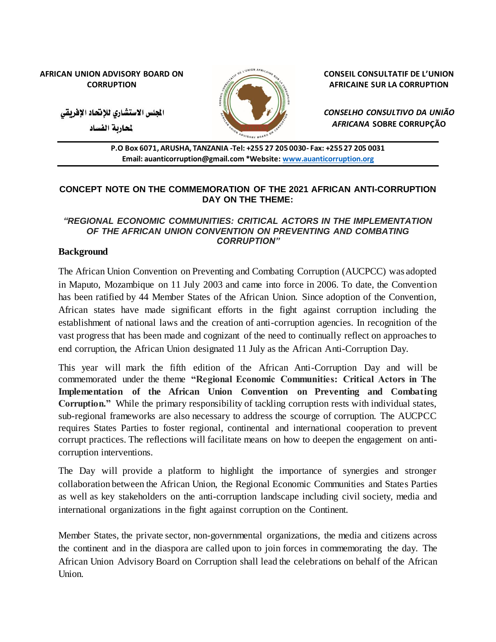#### **AFRICAN UNION ADVISORY BOARD ON CORRUPTION**



**CONSEIL CONSULTATIF DE L'UNION AFRICAINE SUR LA CORRUPTION**

الجلس الاستشاري للإنحاد الإفريقي

لحاربة الفساد

*CONSELHO CONSULTIVO DA UNIÃO AFRICANA* **SOBRE CORRUPÇÃO**

**P.O Box 6071, ARUSHA, TANZANIA -Tel: +255 27 205 0030- Fax: +255 27 205 0031 Email: auanticorruption@gmail.com \*Website[: www.auanticorruption.org](http://www.auanticorruption.org/)**

### **CONCEPT NOTE ON THE COMMEMORATION OF THE 2021 AFRICAN ANTI-CORRUPTION DAY ON THE THEME:**

### *"REGIONAL ECONOMIC COMMUNITIES: CRITICAL ACTORS IN THE IMPLEMENTATION OF THE AFRICAN UNION CONVENTION ON PREVENTING AND COMBATING CORRUPTION"*

### **Background**

The African Union Convention on Preventing and Combating Corruption (AUCPCC) was adopted in Maputo, Mozambique on 11 July 2003 and came into force in 2006. To date, the Convention has been ratified by 44 Member States of the African Union. Since adoption of the Convention, African states have made significant efforts in the fight against corruption including the establishment of national laws and the creation of anti-corruption agencies. In recognition of the vast progress that has been made and cognizant of the need to continually reflect on approaches to end corruption, the African Union designated 11 July as the African Anti-Corruption Day.

This year will mark the fifth edition of the African Anti-Corruption Day and will be commemorated under the theme **"Regional Economic Communities: Critical Actors in The Implementation of the African Union Convention on Preventing and Combating Corruption."** While the primary responsibility of tackling corruption rests with individual states, sub-regional frameworks are also necessary to address the scourge of corruption. The AUCPCC requires States Parties to foster regional, continental and international cooperation to prevent corrupt practices. The reflections will facilitate means on how to deepen the engagement on anticorruption interventions.

The Day will provide a platform to highlight the importance of synergies and stronger collaboration between the African Union, the Regional Economic Communities and States Parties as well as key stakeholders on the anti-corruption landscape including civil society, media and international organizations in the fight against corruption on the Continent.

Member States, the private sector, non-governmental organizations, the media and citizens across the continent and in the diaspora are called upon to join forces in commemorating the day. The African Union Advisory Board on Corruption shall lead the celebrations on behalf of the African Union.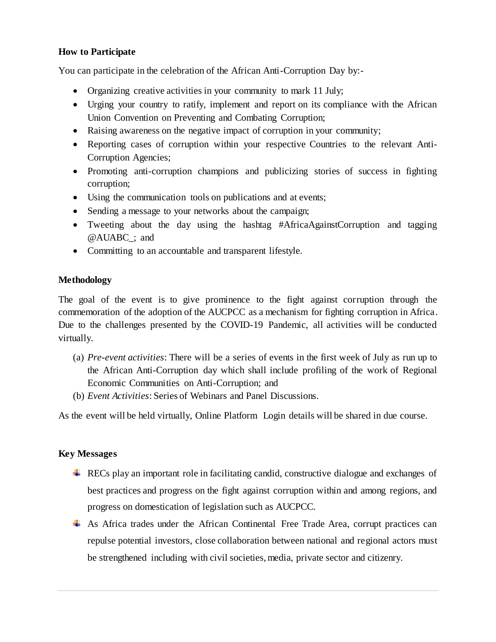# **How to Participate**

You can participate in the celebration of the African Anti-Corruption Day by:-

- Organizing creative activities in your community to mark 11 July;
- Urging your country to ratify, implement and report on its compliance with the African Union Convention on Preventing and Combating Corruption;
- Raising awareness on the negative impact of corruption in your community;
- Reporting cases of corruption within your respective Countries to the relevant Anti-Corruption Agencies;
- Promoting anti-corruption champions and publicizing stories of success in fighting corruption;
- Using the communication tools on publications and at events;
- Sending a message to your networks about the campaign;
- Tweeting about the day using the hashtag #AfricaAgainstCorruption and tagging @AUABC\_; and
- Committing to an accountable and transparent lifestyle.

# **Methodology**

The goal of the event is to give prominence to the fight against corruption through the commemoration of the adoption of the AUCPCC as a mechanism for fighting corruption in Africa. Due to the challenges presented by the COVID-19 Pandemic, all activities will be conducted virtually.

- (a) *Pre-event activities*: There will be a series of events in the first week of July as run up to the African Anti-Corruption day which shall include profiling of the work of Regional Economic Communities on Anti-Corruption; and
- (b) *Event Activities*: Series of Webinars and Panel Discussions.

As the event will be held virtually, Online Platform Login details will be shared in due course.

### **Key Messages**

- $\triangleq$  RECs play an important role in facilitating candid, constructive dialogue and exchanges of best practices and progress on the fight against corruption within and among regions, and progress on domestication of legislation such as AUCPCC.
- As Africa trades under the African Continental Free Trade Area, corrupt practices can repulse potential investors, close collaboration between national and regional actors must be strengthened including with civil societies, media, private sector and citizenry.